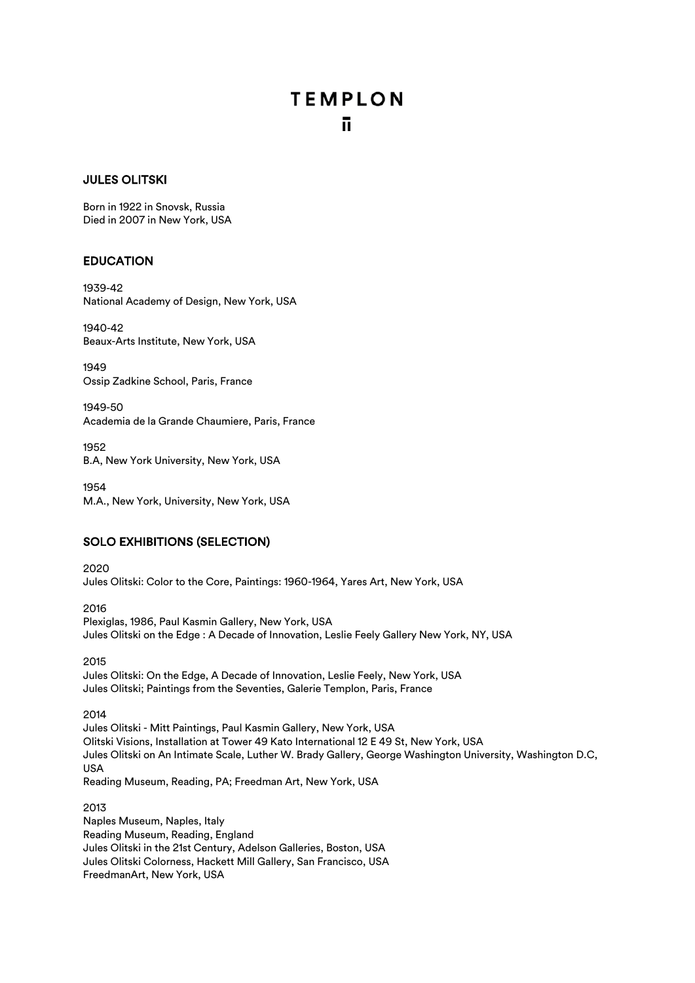## JULES OLITSKI

Born in 1922 in Snovsk, Russia Died in 2007 in New York, USA

## EDUCATION

1939-42 National Academy of Design, New York, USA

1940-42 Beaux-Arts Institute, New York, USA

1949 Ossip Zadkine School, Paris, France

1949-50 Academia de la Grande Chaumiere, Paris, France

1952 B.A, New York University, New York, USA

1954 M.A., New York, University, New York, USA

# SOLO EXHIBITIONS (SELECTION)

2020 Jules Olitski: Color to the Core, Paintings: 1960-1964, Yares Art, New York, USA

2016 Plexiglas, 1986, Paul Kasmin Gallery, New York, USA Jules Olitski on the Edge : A Decade of Innovation, Leslie Feely Gallery New York, NY, USA

2015 Jules Olitski: On the Edge, A Decade of Innovation, Leslie Feely, New York, USA Jules Olitski; Paintings from the Seventies, Galerie Templon, Paris, France

2014

Jules Olitski - Mitt Paintings, Paul Kasmin Gallery, New York, USA Olitski Visions, Installation at Tower 49 Kato International 12 E 49 St, New York, USA Jules Olitski on An Intimate Scale, Luther W. Brady Gallery, George Washington University, Washington D.C, USA Reading Museum, Reading, PA; Freedman Art, New York, USA

2013

Naples Museum, Naples, Italy Reading Museum, Reading, England Jules Olitski in the 21st Century, Adelson Galleries, Boston, USA Jules Olitski Colorness, Hackett Mill Gallery, San Francisco, USA FreedmanArt, New York, USA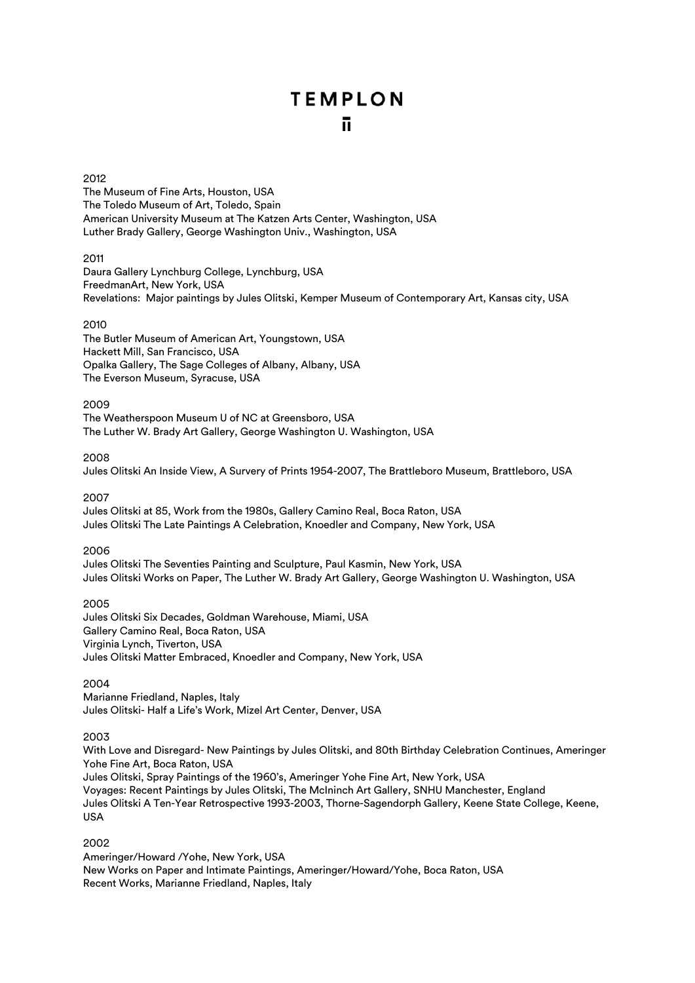## 2012

The Museum of Fine Arts, Houston, USA The Toledo Museum of Art, Toledo, Spain American University Museum at The Katzen Arts Center, Washington, USA Luther Brady Gallery, George Washington Univ., Washington, USA

## 2011

Daura Gallery Lynchburg College, Lynchburg, USA FreedmanArt, New York, USA Revelations: Major paintings by Jules Olitski, Kemper Museum of Contemporary Art, Kansas city, USA

## 2010

The Butler Museum of American Art, Youngstown, USA Hackett Mill, San Francisco, USA Opalka Gallery, The Sage Colleges of Albany, Albany, USA The Everson Museum, Syracuse, USA

## 2009

The Weatherspoon Museum U of NC at Greensboro, USA The Luther W. Brady Art Gallery, George Washington U. Washington, USA

## 2008

Jules Olitski An Inside View, A Survery of Prints 1954-2007, The Brattleboro Museum, Brattleboro, USA

### 2007

Jules Olitski at 85, Work from the 1980s, Gallery Camino Real, Boca Raton, USA Jules Olitski The Late Paintings A Celebration, Knoedler and Company, New York, USA

## 2006

Jules Olitski The Seventies Painting and Sculpture, Paul Kasmin, New York, USA Jules Olitski Works on Paper, The Luther W. Brady Art Gallery, George Washington U. Washington, USA

2005 Jules Olitski Six Decades, Goldman Warehouse, Miami, USA Gallery Camino Real, Boca Raton, USA Virginia Lynch, Tiverton, USA Jules Olitski Matter Embraced, Knoedler and Company, New York, USA

## 2004

Marianne Friedland, Naples, Italy Jules Olitski- Half a Life's Work, Mizel Art Center, Denver, USA

## 2003

With Love and Disregard- New Paintings by Jules Olitski, and 80th Birthday Celebration Continues, Ameringer Yohe Fine Art, Boca Raton, USA Jules Olitski, Spray Paintings of the 1960's, Ameringer Yohe Fine Art, New York, USA

Voyages: Recent Paintings by Jules Olitski, The McIninch Art Gallery, SNHU Manchester, England Jules Olitski A Ten-Year Retrospective 1993-2003, Thorne-Sagendorph Gallery, Keene State College, Keene, USA

## 2002

Ameringer/Howard /Yohe, New York, USA New Works on Paper and Intimate Paintings, Ameringer/Howard/Yohe, Boca Raton, USA Recent Works, Marianne Friedland, Naples, Italy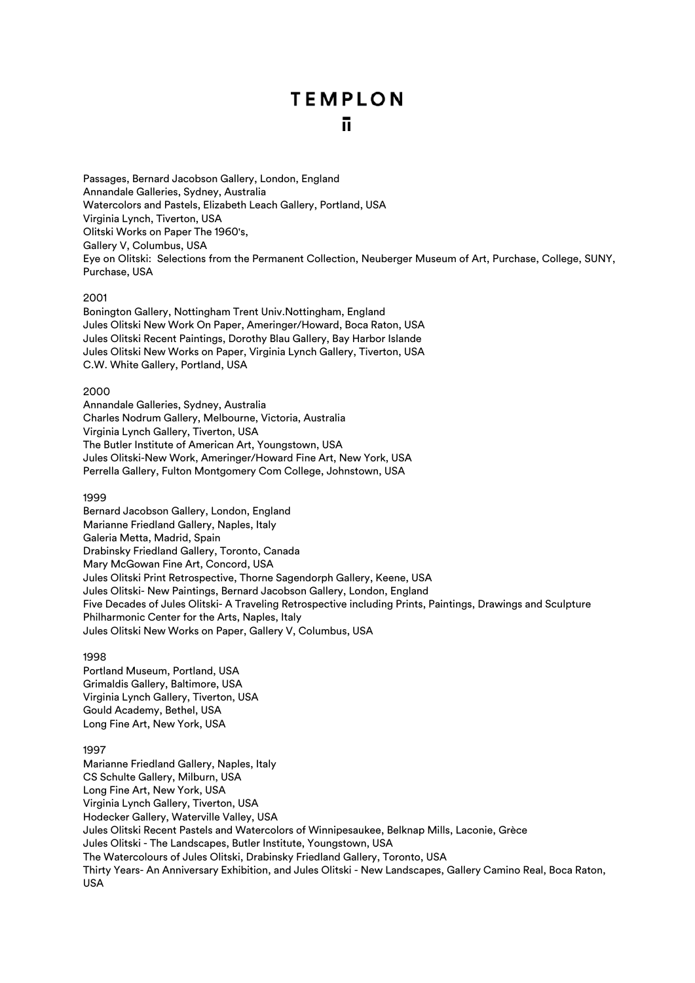Passages, Bernard Jacobson Gallery, London, England Annandale Galleries, Sydney, Australia Watercolors and Pastels, Elizabeth Leach Gallery, Portland, USA Virginia Lynch, Tiverton, USA Olitski Works on Paper The 1960's, Gallery V, Columbus, USA Eye on Olitski: Selections from the Permanent Collection, Neuberger Museum of Art, Purchase, College, SUNY, Purchase, USA

## 2001

Bonington Gallery, Nottingham Trent Univ.Nottingham, England Jules Olitski New Work On Paper, Ameringer/Howard, Boca Raton, USA Jules Olitski Recent Paintings, Dorothy Blau Gallery, Bay Harbor Islande Jules Olitski New Works on Paper, Virginia Lynch Gallery, Tiverton, USA C.W. White Gallery, Portland, USA

## 2000

Annandale Galleries, Sydney, Australia Charles Nodrum Gallery, Melbourne, Victoria, Australia Virginia Lynch Gallery, Tiverton, USA The Butler Institute of American Art, Youngstown, USA Jules Olitski-New Work, Ameringer/Howard Fine Art, New York, USA Perrella Gallery, Fulton Montgomery Com College, Johnstown, USA

## 1999

Bernard Jacobson Gallery, London, England Marianne Friedland Gallery, Naples, Italy Galeria Metta, Madrid, Spain Drabinsky Friedland Gallery, Toronto, Canada Mary McGowan Fine Art, Concord, USA Jules Olitski Print Retrospective, Thorne Sagendorph Gallery, Keene, USA Jules Olitski- New Paintings, Bernard Jacobson Gallery, London, England Five Decades of Jules Olitski- A Traveling Retrospective including Prints, Paintings, Drawings and Sculpture Philharmonic Center for the Arts, Naples, Italy Jules Olitski New Works on Paper, Gallery V, Columbus, USA

## 1998

Portland Museum, Portland, USA Grimaldis Gallery, Baltimore, USA Virginia Lynch Gallery, Tiverton, USA Gould Academy, Bethel, USA Long Fine Art, New York, USA

## 1997

Marianne Friedland Gallery, Naples, Italy CS Schulte Gallery, Milburn, USA Long Fine Art, New York, USA Virginia Lynch Gallery, Tiverton, USA Hodecker Gallery, Waterville Valley, USA Jules Olitski Recent Pastels and Watercolors of Winnipesaukee, Belknap Mills, Laconie, Grèce Jules Olitski - The Landscapes, Butler Institute, Youngstown, USA The Watercolours of Jules Olitski, Drabinsky Friedland Gallery, Toronto, USA Thirty Years- An Anniversary Exhibition, and Jules Olitski - New Landscapes, Gallery Camino Real, Boca Raton, USA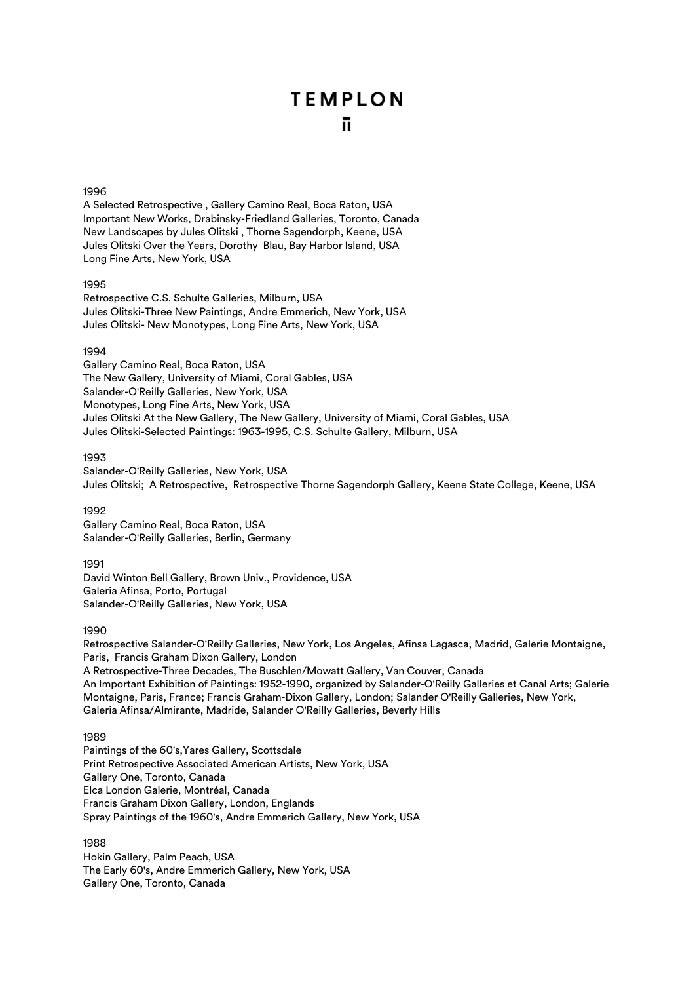#### 1996

A Selected Retrospective , Gallery Camino Real, Boca Raton, USA Important New Works, Drabinsky-Friedland Galleries, Toronto, Canada New Landscapes by Jules Olitski , Thorne Sagendorph, Keene, USA Jules Olitski Over the Years, Dorothy Blau, Bay Harbor Island, USA Long Fine Arts, New York, USA

#### 1995

Retrospective C.S. Schulte Galleries, Milburn, USA Jules Olitski-Three New Paintings, Andre Emmerich, New York, USA Jules Olitski- New Monotypes, Long Fine Arts, New York, USA

## 1994

Gallery Camino Real, Boca Raton, USA The New Gallery, University of Miami, Coral Gables, USA Salander-O'Reilly Galleries, New York, USA Monotypes, Long Fine Arts, New York, USA Jules Olitski At the New Gallery, The New Gallery, University of Miami, Coral Gables, USA Jules Olitski-Selected Paintings: 1963-1995, C.S. Schulte Gallery, Milburn, USA

## 1993

Salander-O'Reilly Galleries, New York, USA Jules Olitski; A Retrospective, Retrospective Thorne Sagendorph Gallery, Keene State College, Keene, USA

#### 1992

Gallery Camino Real, Boca Raton, USA Salander-O'Reilly Galleries, Berlin, Germany

#### 1991

David Winton Bell Gallery, Brown Univ., Providence, USA Galeria Afinsa, Porto, Portugal Salander-O'Reilly Galleries, New York, USA

#### 1990

Retrospective Salander-O'Reilly Galleries, New York, Los Angeles, Afinsa Lagasca, Madrid, Galerie Montaigne, Paris, Francis Graham Dixon Gallery, London A Retrospective-Three Decades, The Buschlen/Mowatt Gallery, Van Couver, Canada An Important Exhibition of Paintings: 1952-1990, organized by Salander-O'Reilly Galleries et Canal Arts; Galerie Montaigne, Paris, France; Francis Graham-Dixon Gallery, London; Salander O'Reilly Galleries, New York, Galeria Afinsa/Almirante, Madride, Salander O'Reilly Galleries, Beverly Hills

## 1989

Paintings of the 60's,Yares Gallery, Scottsdale Print Retrospective Associated American Artists, New York, USA Gallery One, Toronto, Canada Elca London Galerie, Montréal, Canada Francis Graham Dixon Gallery, London, Englands Spray Paintings of the 1960's, Andre Emmerich Gallery, New York, USA

1988 Hokin Gallery, Palm Peach, USA The Early 60's, Andre Emmerich Gallery, New York, USA Gallery One, Toronto, Canada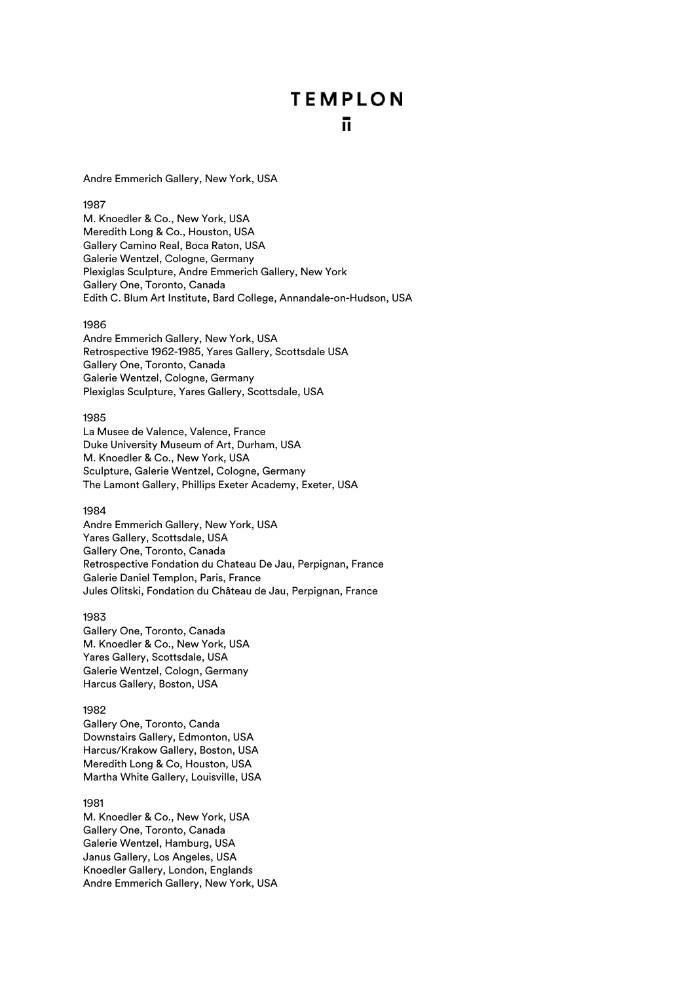Andre Emmerich Gallery, New York, USA

## 1987

M. Knoedler & Co., New York, USA Meredith Long & Co., Houston, USA Gallery Camino Real, Boca Raton, USA Galerie Wentzel, Cologne, Germany Plexiglas Sculpture, Andre Emmerich Gallery, New York Gallery One, Toronto, Canada Edith C. Blum Art Institute, Bard College, Annandale-on-Hudson, USA

#### 1986

Andre Emmerich Gallery, New York, USA Retrospective 1962-1985, Yares Gallery, Scottsdale USA Gallery One, Toronto, Canada Galerie Wentzel, Cologne, Germany Plexiglas Sculpture, Yares Gallery, Scottsdale, USA

## 1985

La Musee de Valence, Valence, France Duke University Museum of Art, Durham, USA M. Knoedler & Co., New York, USA Sculpture, Galerie Wentzel, Cologne, Germany The Lamont Gallery, Phillips Exeter Academy, Exeter, USA

#### 1984

Andre Emmerich Gallery, New York, USA Yares Gallery, Scottsdale, USA Gallery One, Toronto, Canada Retrospective Fondation du Chateau De Jau, Perpignan, France Galerie Daniel Templon, Paris, France Jules Olitski, Fondation du Château de Jau, Perpignan, France

## 1983

Gallery One, Toronto, Canada M. Knoedler & Co., New York, USA Yares Gallery, Scottsdale, USA Galerie Wentzel, Cologn, Germany Harcus Gallery, Boston, USA

#### 1982

Gallery One, Toronto, Canda Downstairs Gallery, Edmonton, USA Harcus/Krakow Gallery, Boston, USA Meredith Long & Co, Houston, USA Martha White Gallery, Louisville, USA

#### 1981

M. Knoedler & Co., New York, USA Gallery One, Toronto, Canada Galerie Wentzel, Hamburg, USA Janus Gallery, Los Angeles, USA Knoedler Gallery, London, Englands Andre Emmerich Gallery, New York, USA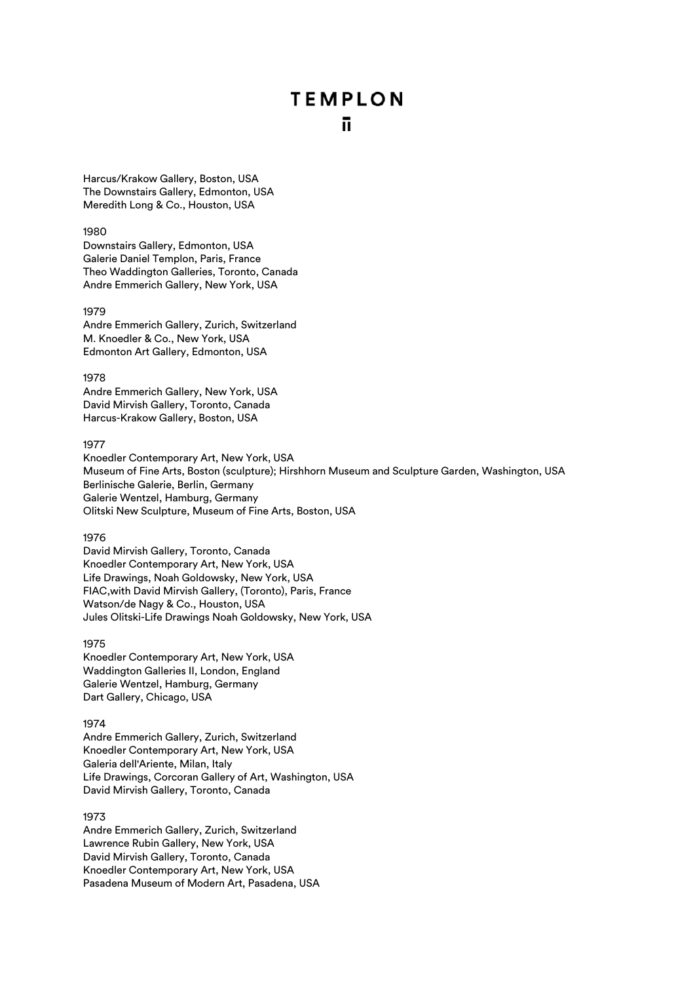Harcus/Krakow Gallery, Boston, USA The Downstairs Gallery, Edmonton, USA Meredith Long & Co., Houston, USA

#### 1980

Downstairs Gallery, Edmonton, USA Galerie Daniel Templon, Paris, France Theo Waddington Galleries, Toronto, Canada Andre Emmerich Gallery, New York, USA

#### 1979

Andre Emmerich Gallery, Zurich, Switzerland M. Knoedler & Co., New York, USA Edmonton Art Gallery, Edmonton, USA

#### 1978

Andre Emmerich Gallery, New York, USA David Mirvish Gallery, Toronto, Canada Harcus-Krakow Gallery, Boston, USA

#### 1977

Knoedler Contemporary Art, New York, USA Museum of Fine Arts, Boston (sculpture); Hirshhorn Museum and Sculpture Garden, Washington, USA Berlinische Galerie, Berlin, Germany Galerie Wentzel, Hamburg, Germany Olitski New Sculpture, Museum of Fine Arts, Boston, USA

#### 1976

David Mirvish Gallery, Toronto, Canada Knoedler Contemporary Art, New York, USA Life Drawings, Noah Goldowsky, New York, USA FIAC,with David Mirvish Gallery, (Toronto), Paris, France Watson/de Nagy & Co., Houston, USA Jules Olitski-Life Drawings Noah Goldowsky, New York, USA

### 1975

Knoedler Contemporary Art, New York, USA Waddington Galleries II, London, England Galerie Wentzel, Hamburg, Germany Dart Gallery, Chicago, USA

#### 1974

Andre Emmerich Gallery, Zurich, Switzerland Knoedler Contemporary Art, New York, USA Galeria dell'Ariente, Milan, Italy Life Drawings, Corcoran Gallery of Art, Washington, USA David Mirvish Gallery, Toronto, Canada

## 1973

Andre Emmerich Gallery, Zurich, Switzerland Lawrence Rubin Gallery, New York, USA David Mirvish Gallery, Toronto, Canada Knoedler Contemporary Art, New York, USA Pasadena Museum of Modern Art, Pasadena, USA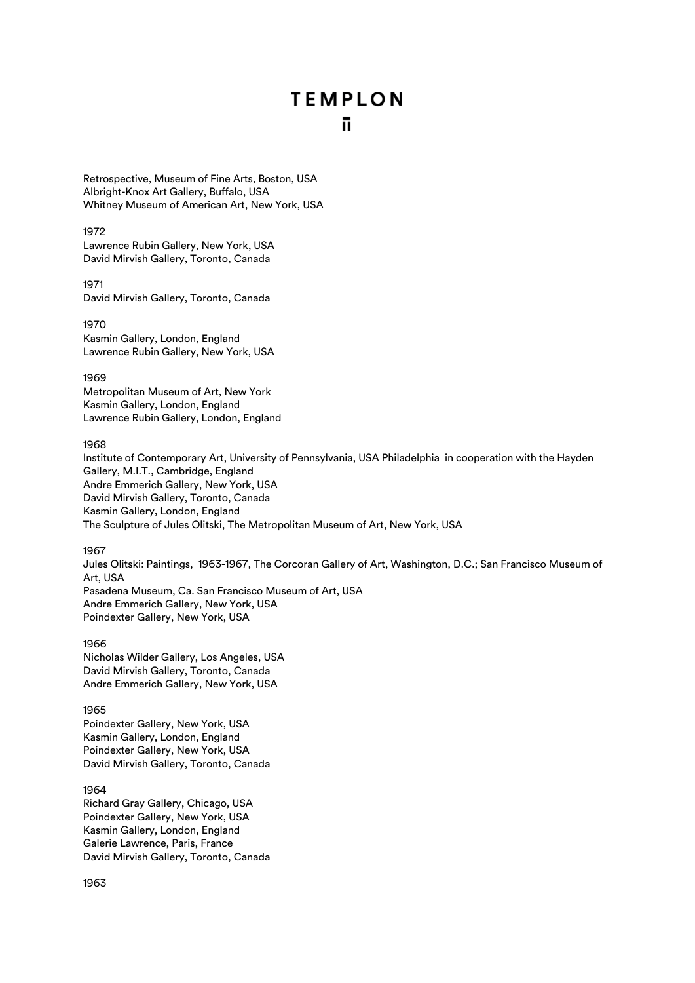Retrospective, Museum of Fine Arts, Boston, USA Albright-Knox Art Gallery, Buffalo, USA Whitney Museum of American Art, New York, USA

#### 1972

Lawrence Rubin Gallery, New York, USA David Mirvish Gallery, Toronto, Canada

1971

David Mirvish Gallery, Toronto, Canada

1970 Kasmin Gallery, London, England Lawrence Rubin Gallery, New York, USA

1969

Metropolitan Museum of Art, New York Kasmin Gallery, London, England Lawrence Rubin Gallery, London, England

1968

Institute of Contemporary Art, University of Pennsylvania, USA Philadelphia in cooperation with the Hayden Gallery, M.I.T., Cambridge, England Andre Emmerich Gallery, New York, USA David Mirvish Gallery, Toronto, Canada Kasmin Gallery, London, England The Sculpture of Jules Olitski, The Metropolitan Museum of Art, New York, USA

1967

Jules Olitski: Paintings, 1963-1967, The Corcoran Gallery of Art, Washington, D.C.; San Francisco Museum of Art, USA Pasadena Museum, Ca. San Francisco Museum of Art, USA Andre Emmerich Gallery, New York, USA Poindexter Gallery, New York, USA

1966

Nicholas Wilder Gallery, Los Angeles, USA David Mirvish Gallery, Toronto, Canada Andre Emmerich Gallery, New York, USA

1965

Poindexter Gallery, New York, USA Kasmin Gallery, London, England Poindexter Gallery, New York, USA David Mirvish Gallery, Toronto, Canada

1964

Richard Gray Gallery, Chicago, USA Poindexter Gallery, New York, USA Kasmin Gallery, London, England Galerie Lawrence, Paris, France David Mirvish Gallery, Toronto, Canada

1963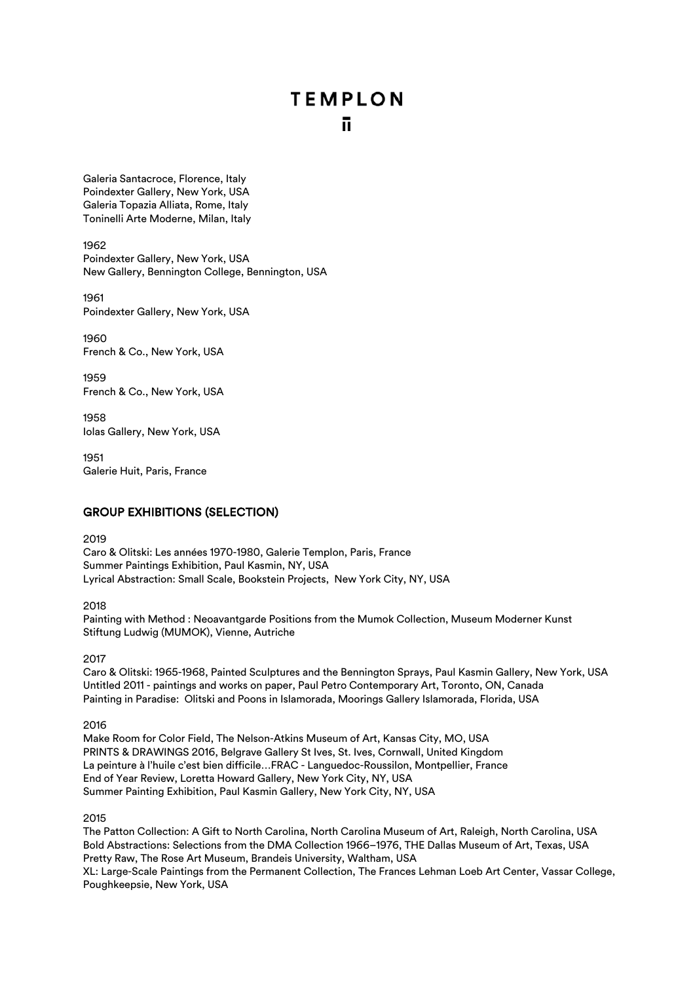Galeria Santacroce, Florence, Italy Poindexter Gallery, New York, USA Galeria Topazia Alliata, Rome, Italy Toninelli Arte Moderne, Milan, Italy

1962

Poindexter Gallery, New York, USA New Gallery, Bennington College, Bennington, USA

1961 Poindexter Gallery, New York, USA

1960 French & Co., New York, USA

1959 French & Co., New York, USA

1958 Iolas Gallery, New York, USA

1951 Galerie Huit, Paris, France

# GROUP EXHIBITIONS (SELECTION)

2019

Caro & Olitski: Les années 1970-1980, Galerie Templon, Paris, France Summer Paintings Exhibition, Paul Kasmin, NY, USA Lyrical Abstraction: Small Scale, Bookstein Projects, New York City, NY, USA

2018

Painting with Method : Neoavantgarde Positions from the Mumok Collection, Museum Moderner Kunst Stiftung Ludwig (MUMOK), Vienne, Autriche

2017

Caro & Olitski: 1965-1968, Painted Sculptures and the Bennington Sprays, Paul Kasmin Gallery, New York, USA Untitled 2011 - paintings and works on paper, Paul Petro Contemporary Art, Toronto, ON, Canada Painting in Paradise: Olitski and Poons in Islamorada, Moorings Gallery Islamorada, Florida, USA

2016

Make Room for Color Field, The Nelson-Atkins Museum of Art, Kansas City, MO, USA PRINTS & DRAWINGS 2016, Belgrave Gallery St Ives, St. Ives, Cornwall, United Kingdom La peinture à l'huile c'est bien difficile…FRAC - Languedoc-Roussilon, Montpellier, France End of Year Review, Loretta Howard Gallery, New York City, NY, USA Summer Painting Exhibition, Paul Kasmin Gallery, New York City, NY, USA

2015

The Patton Collection: A Gift to North Carolina, North Carolina Museum of Art, Raleigh, North Carolina, USA Bold Abstractions: Selections from the DMA Collection 1966–1976, THE Dallas Museum of Art, Texas, USA Pretty Raw, The Rose Art Museum, Brandeis University, Waltham, USA XL: Large-Scale Paintings from the Permanent Collection, The Frances Lehman Loeb Art Center, Vassar College, Poughkeepsie, New York, USA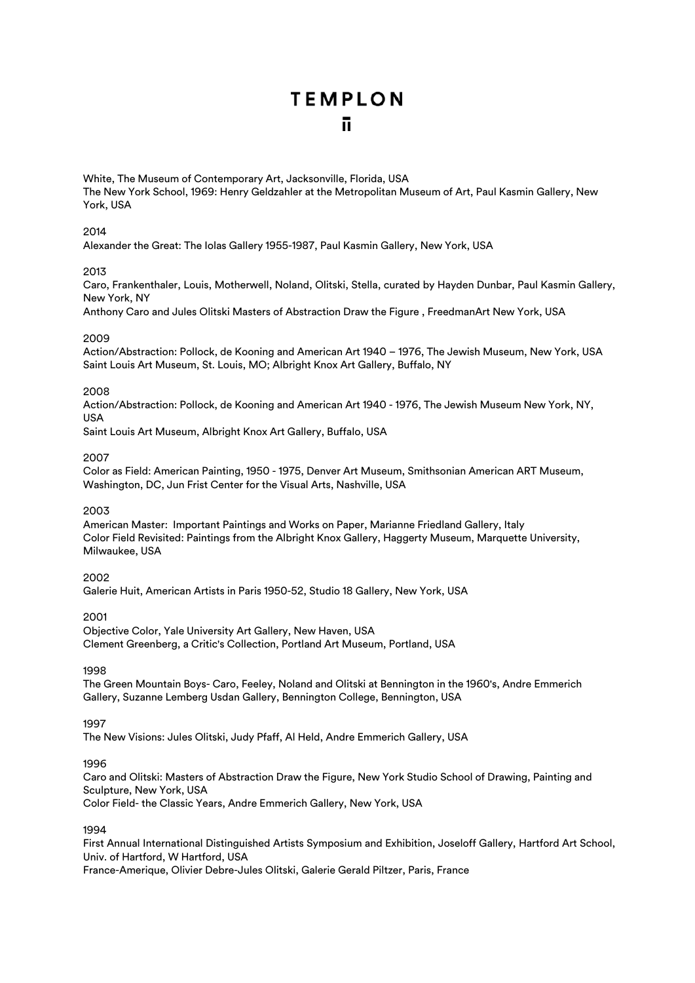White, The Museum of Contemporary Art, Jacksonville, Florida, USA The New York School, 1969: Henry Geldzahler at the Metropolitan Museum of Art, Paul Kasmin Gallery, New York, USA

## 2014

Alexander the Great: The Iolas Gallery 1955-1987, Paul Kasmin Gallery, New York, USA

## 2013

Caro, Frankenthaler, Louis, Motherwell, Noland, Olitski, Stella, curated by Hayden Dunbar, Paul Kasmin Gallery, New York, NY

Anthony Caro and Jules Olitski Masters of Abstraction Draw the Figure , FreedmanArt New York, USA

## 2009

Action/Abstraction: Pollock, de Kooning and American Art 1940 – 1976, The Jewish Museum, New York, USA Saint Louis Art Museum, St. Louis, MO; Albright Knox Art Gallery, Buffalo, NY

## 2008

Action/Abstraction: Pollock, de Kooning and American Art 1940 - 1976, The Jewish Museum New York, NY, USA

Saint Louis Art Museum, Albright Knox Art Gallery, Buffalo, USA

## 2007

Color as Field: American Painting, 1950 - 1975, Denver Art Museum, Smithsonian American ART Museum, Washington, DC, Jun Frist Center for the Visual Arts, Nashville, USA

## 2003

American Master: Important Paintings and Works on Paper, Marianne Friedland Gallery, Italy Color Field Revisited: Paintings from the Albright Knox Gallery, Haggerty Museum, Marquette University, Milwaukee, USA

## 2002

Galerie Huit, American Artists in Paris 1950-52, Studio 18 Gallery, New York, USA

## 2001

Objective Color, Yale University Art Gallery, New Haven, USA Clement Greenberg, a Critic's Collection, Portland Art Museum, Portland, USA

#### 1998

The Green Mountain Boys- Caro, Feeley, Noland and Olitski at Bennington in the 1960's, Andre Emmerich Gallery, Suzanne Lemberg Usdan Gallery, Bennington College, Bennington, USA

## 1997

The New Visions: Jules Olitski, Judy Pfaff, Al Held, Andre Emmerich Gallery, USA

## 1996

Caro and Olitski: Masters of Abstraction Draw the Figure, New York Studio School of Drawing, Painting and Sculpture, New York, USA

Color Field- the Classic Years, Andre Emmerich Gallery, New York, USA

## 1994

First Annual International Distinguished Artists Symposium and Exhibition, Joseloff Gallery, Hartford Art School, Univ. of Hartford, W Hartford, USA

France-Amerique, Olivier Debre-Jules Olitski, Galerie Gerald Piltzer, Paris, France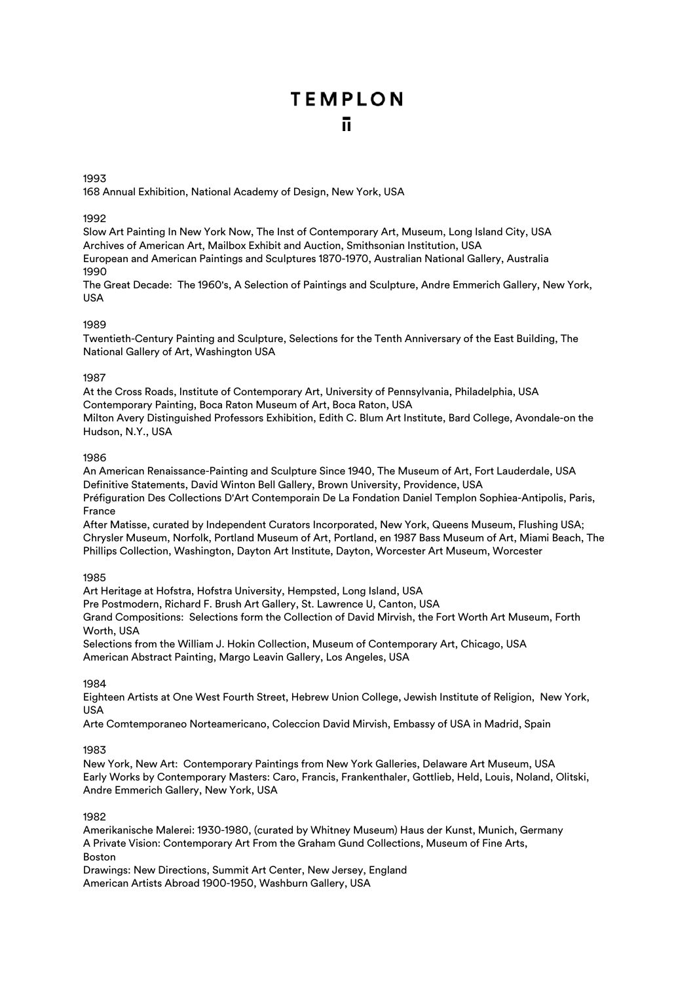1993

168 Annual Exhibition, National Academy of Design, New York, USA

## 1992

Slow Art Painting In New York Now, The Inst of Contemporary Art, Museum, Long Island City, USA Archives of American Art, Mailbox Exhibit and Auction, Smithsonian Institution, USA European and American Paintings and Sculptures 1870-1970, Australian National Gallery, Australia 1990

The Great Decade: The 1960's, A Selection of Paintings and Sculpture, Andre Emmerich Gallery, New York, USA

## 1989

Twentieth-Century Painting and Sculpture, Selections for the Tenth Anniversary of the East Building, The National Gallery of Art, Washington USA

## 1987

At the Cross Roads, Institute of Contemporary Art, University of Pennsylvania, Philadelphia, USA Contemporary Painting, Boca Raton Museum of Art, Boca Raton, USA Milton Avery Distinguished Professors Exhibition, Edith C. Blum Art Institute, Bard College, Avondale-on the Hudson, N.Y., USA

## 1986

An American Renaissance-Painting and Sculpture Since 1940, The Museum of Art, Fort Lauderdale, USA Definitive Statements, David Winton Bell Gallery, Brown University, Providence, USA Préfiguration Des Collections D'Art Contemporain De La Fondation Daniel Templon Sophiea-Antipolis, Paris, France

After Matisse, curated by Independent Curators Incorporated, New York, Queens Museum, Flushing USA; Chrysler Museum, Norfolk, Portland Museum of Art, Portland, en 1987 Bass Museum of Art, Miami Beach, The Phillips Collection, Washington, Dayton Art Institute, Dayton, Worcester Art Museum, Worcester

## 1985

Art Heritage at Hofstra, Hofstra University, Hempsted, Long Island, USA Pre Postmodern, Richard F. Brush Art Gallery, St. Lawrence U, Canton, USA Grand Compositions: Selections form the Collection of David Mirvish, the Fort Worth Art Museum, Forth Worth, USA

Selections from the William J. Hokin Collection, Museum of Contemporary Art, Chicago, USA American Abstract Painting, Margo Leavin Gallery, Los Angeles, USA

## 1984

Eighteen Artists at One West Fourth Street, Hebrew Union College, Jewish Institute of Religion, New York, USA

Arte Comtemporaneo Norteamericano, Coleccion David Mirvish, Embassy of USA in Madrid, Spain

## 1983

New York, New Art: Contemporary Paintings from New York Galleries, Delaware Art Museum, USA Early Works by Contemporary Masters: Caro, Francis, Frankenthaler, Gottlieb, Held, Louis, Noland, Olitski, Andre Emmerich Gallery, New York, USA

## 1982

Amerikanische Malerei: 1930-1980, (curated by Whitney Museum) Haus der Kunst, Munich, Germany A Private Vision: Contemporary Art From the Graham Gund Collections, Museum of Fine Arts, Boston

Drawings: New Directions, Summit Art Center, New Jersey, England American Artists Abroad 1900-1950, Washburn Gallery, USA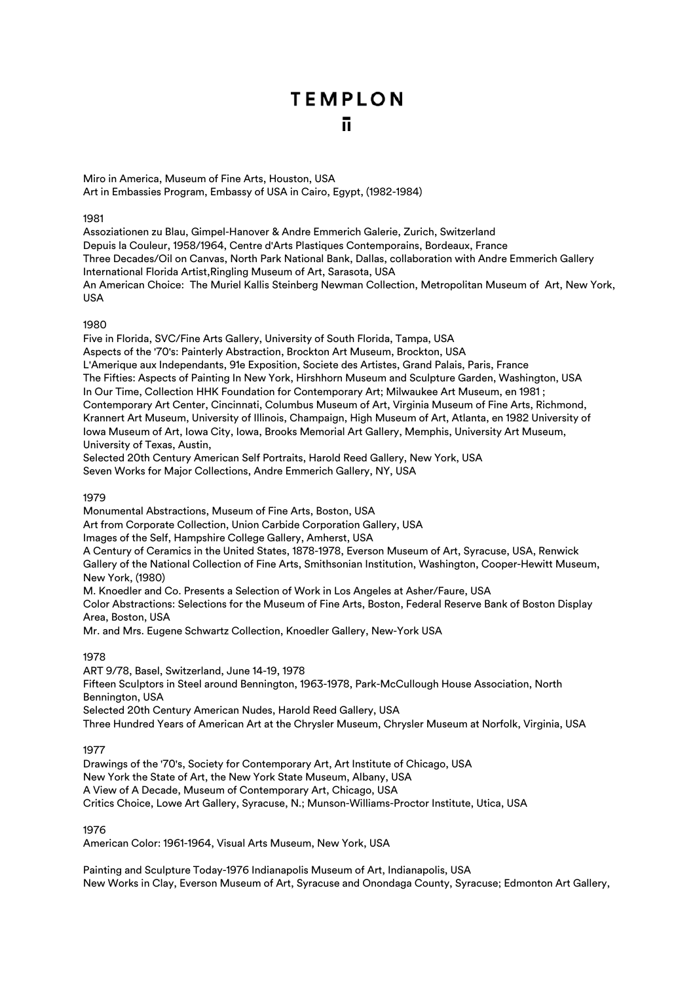Miro in America, Museum of Fine Arts, Houston, USA Art in Embassies Program, Embassy of USA in Cairo, Egypt, (1982-1984)

## 1981

Assoziationen zu Blau, Gimpel-Hanover & Andre Emmerich Galerie, Zurich, Switzerland Depuis la Couleur, 1958/1964, Centre d'Arts Plastiques Contemporains, Bordeaux, France Three Decades/Oil on Canvas, North Park National Bank, Dallas, collaboration with Andre Emmerich Gallery International Florida Artist,Ringling Museum of Art, Sarasota, USA An American Choice: The Muriel Kallis Steinberg Newman Collection, Metropolitan Museum of Art, New York, USA

## 1980

Five in Florida, SVC/Fine Arts Gallery, University of South Florida, Tampa, USA Aspects of the '70's: Painterly Abstraction, Brockton Art Museum, Brockton, USA L'Amerique aux Independants, 91e Exposition, Societe des Artistes, Grand Palais, Paris, France The Fifties: Aspects of Painting In New York, Hirshhorn Museum and Sculpture Garden, Washington, USA In Our Time, Collection HHK Foundation for Contemporary Art; Milwaukee Art Museum, en 1981 ; Contemporary Art Center, Cincinnati, Columbus Museum of Art, Virginia Museum of Fine Arts, Richmond, Krannert Art Museum, University of Illinois, Champaign, High Museum of Art, Atlanta, en 1982 University of Iowa Museum of Art, Iowa City, Iowa, Brooks Memorial Art Gallery, Memphis, University Art Museum, University of Texas, Austin,

Selected 20th Century American Self Portraits, Harold Reed Gallery, New York, USA Seven Works for Major Collections, Andre Emmerich Gallery, NY, USA

### 1979

Monumental Abstractions, Museum of Fine Arts, Boston, USA Art from Corporate Collection, Union Carbide Corporation Gallery, USA Images of the Self, Hampshire College Gallery, Amherst, USA A Century of Ceramics in the United States, 1878-1978, Everson Museum of Art, Syracuse, USA, Renwick Gallery of the National Collection of Fine Arts, Smithsonian Institution, Washington, Cooper-Hewitt Museum, New York, (1980) M. Knoedler and Co. Presents a Selection of Work in Los Angeles at Asher/Faure, USA Color Abstractions: Selections for the Museum of Fine Arts, Boston, Federal Reserve Bank of Boston Display Area, Boston, USA Mr. and Mrs. Eugene Schwartz Collection, Knoedler Gallery, New-York USA

## 1978

ART 9/78, Basel, Switzerland, June 14-19, 1978 Fifteen Sculptors in Steel around Bennington, 1963-1978, Park-McCullough House Association, North Bennington, USA Selected 20th Century American Nudes, Harold Reed Gallery, USA Three Hundred Years of American Art at the Chrysler Museum, Chrysler Museum at Norfolk, Virginia, USA

## 1977

Drawings of the '70's, Society for Contemporary Art, Art Institute of Chicago, USA New York the State of Art, the New York State Museum, Albany, USA A View of A Decade, Museum of Contemporary Art, Chicago, USA Critics Choice, Lowe Art Gallery, Syracuse, N.; Munson-Williams-Proctor Institute, Utica, USA

## 1976

American Color: 1961-1964, Visual Arts Museum, New York, USA

Painting and Sculpture Today-1976 Indianapolis Museum of Art, Indianapolis, USA New Works in Clay, Everson Museum of Art, Syracuse and Onondaga County, Syracuse; Edmonton Art Gallery,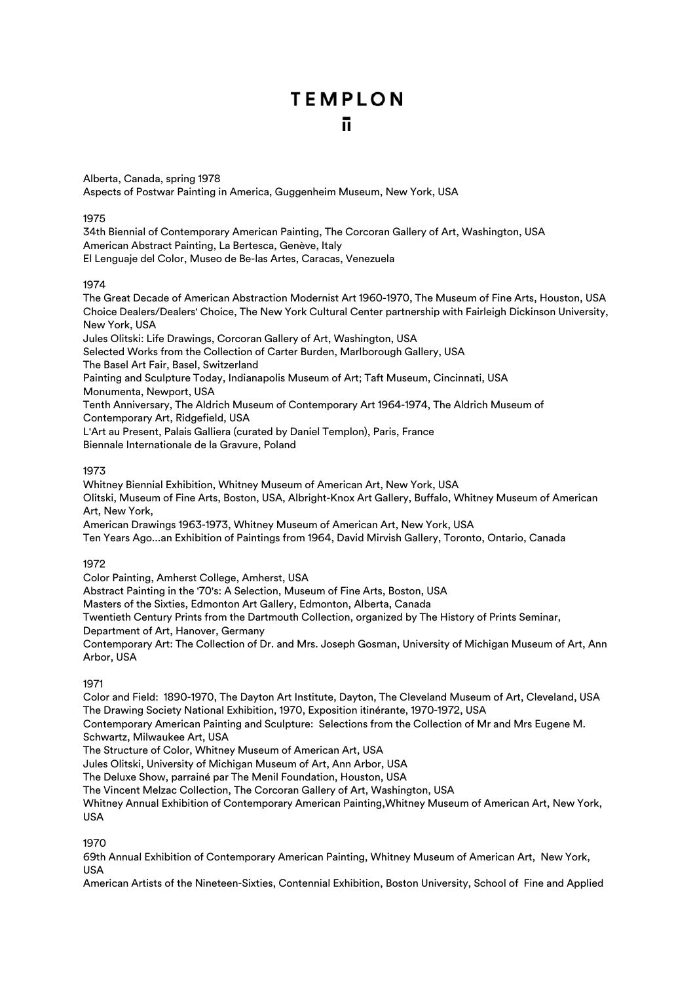Alberta, Canada, spring 1978 Aspects of Postwar Painting in America, Guggenheim Museum, New York, USA

## 1975

34th Biennial of Contemporary American Painting, The Corcoran Gallery of Art, Washington, USA American Abstract Painting, La Bertesca, Genève, Italy El Lenguaje del Color, Museo de Be-las Artes, Caracas, Venezuela

## 1974

The Great Decade of American Abstraction Modernist Art 1960-1970, The Museum of Fine Arts, Houston, USA Choice Dealers/Dealers' Choice, The New York Cultural Center partnership with Fairleigh Dickinson University, New York, USA Jules Olitski: Life Drawings, Corcoran Gallery of Art, Washington, USA Selected Works from the Collection of Carter Burden, Marlborough Gallery, USA The Basel Art Fair, Basel, Switzerland Painting and Sculpture Today, Indianapolis Museum of Art; Taft Museum, Cincinnati, USA Monumenta, Newport, USA Tenth Anniversary, The Aldrich Museum of Contemporary Art 1964-1974, The Aldrich Museum of Contemporary Art, Ridgefield, USA L'Art au Present, Palais Galliera (curated by Daniel Templon), Paris, France Biennale Internationale de la Gravure, Poland

## 1973

Whitney Biennial Exhibition, Whitney Museum of American Art, New York, USA Olitski, Museum of Fine Arts, Boston, USA, Albright-Knox Art Gallery, Buffalo, Whitney Museum of American Art, New York, American Drawings 1963-1973, Whitney Museum of American Art, New York, USA

Ten Years Ago...an Exhibition of Paintings from 1964, David Mirvish Gallery, Toronto, Ontario, Canada

## 1972

Color Painting, Amherst College, Amherst, USA

Abstract Painting in the '70's: A Selection, Museum of Fine Arts, Boston, USA

Masters of the Sixties, Edmonton Art Gallery, Edmonton, Alberta, Canada

Twentieth Century Prints from the Dartmouth Collection, organized by The History of Prints Seminar,

Department of Art, Hanover, Germany

Contemporary Art: The Collection of Dr. and Mrs. Joseph Gosman, University of Michigan Museum of Art, Ann Arbor, USA

## 1971

Color and Field: 1890-1970, The Dayton Art Institute, Dayton, The Cleveland Museum of Art, Cleveland, USA The Drawing Society National Exhibition, 1970, Exposition itinérante, 1970-1972, USA

Contemporary American Painting and Sculpture: Selections from the Collection of Mr and Mrs Eugene M. Schwartz, Milwaukee Art, USA

The Structure of Color, Whitney Museum of American Art, USA

Jules Olitski, University of Michigan Museum of Art, Ann Arbor, USA

The Deluxe Show, parrainé par The Menil Foundation, Houston, USA

The Vincent Melzac Collection, The Corcoran Gallery of Art, Washington, USA

Whitney Annual Exhibition of Contemporary American Painting,Whitney Museum of American Art, New York, USA

1970

69th Annual Exhibition of Contemporary American Painting, Whitney Museum of American Art, New York, USA

American Artists of the Nineteen-Sixties, Contennial Exhibition, Boston University, School of Fine and Applied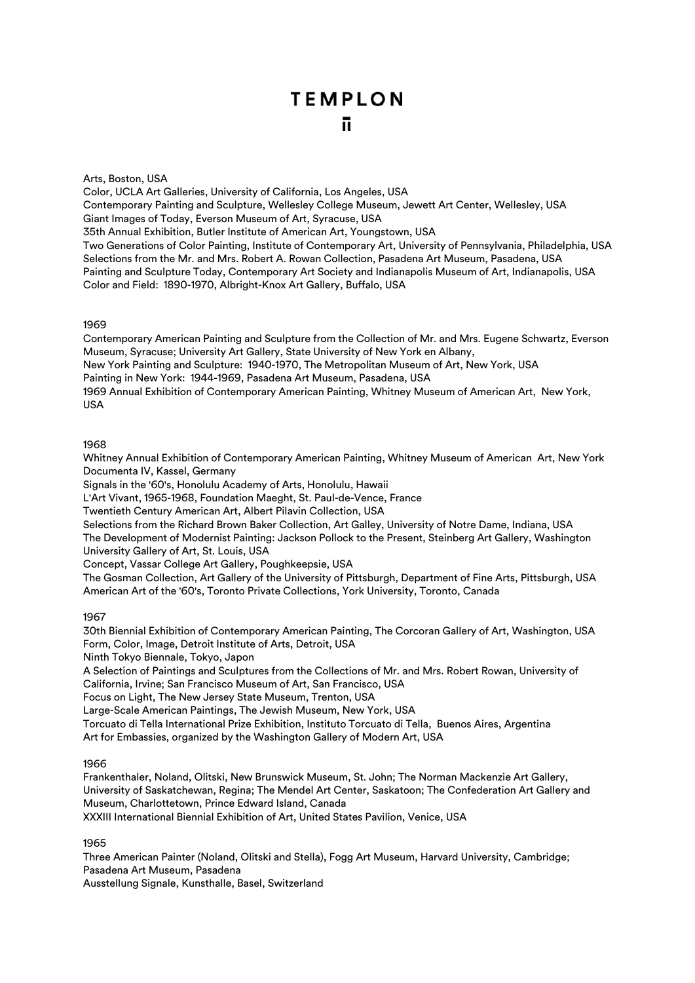### Arts, Boston, USA

Color, UCLA Art Galleries, University of California, Los Angeles, USA Contemporary Painting and Sculpture, Wellesley College Museum, Jewett Art Center, Wellesley, USA Giant Images of Today, Everson Museum of Art, Syracuse, USA 35th Annual Exhibition, Butler Institute of American Art, Youngstown, USA Two Generations of Color Painting, Institute of Contemporary Art, University of Pennsylvania, Philadelphia, USA Selections from the Mr. and Mrs. Robert A. Rowan Collection, Pasadena Art Museum, Pasadena, USA Painting and Sculpture Today, Contemporary Art Society and Indianapolis Museum of Art, Indianapolis, USA Color and Field: 1890-1970, Albright-Knox Art Gallery, Buffalo, USA

#### 1969

Contemporary American Painting and Sculpture from the Collection of Mr. and Mrs. Eugene Schwartz, Everson Museum, Syracuse; University Art Gallery, State University of New York en Albany, New York Painting and Sculpture: 1940-1970, The Metropolitan Museum of Art, New York, USA Painting in New York: 1944-1969, Pasadena Art Museum, Pasadena, USA 1969 Annual Exhibition of Contemporary American Painting, Whitney Museum of American Art, New York,

USA

## 1968

Whitney Annual Exhibition of Contemporary American Painting, Whitney Museum of American Art, New York Documenta IV, Kassel, Germany

Signals in the '60's, Honolulu Academy of Arts, Honolulu, Hawaii

L'Art Vivant, 1965-1968, Foundation Maeght, St. Paul-de-Vence, France

Twentieth Century American Art, Albert Pilavin Collection, USA

Selections from the Richard Brown Baker Collection, Art Galley, University of Notre Dame, Indiana, USA The Development of Modernist Painting: Jackson Pollock to the Present, Steinberg Art Gallery, Washington University Gallery of Art, St. Louis, USA

Concept, Vassar College Art Gallery, Poughkeepsie, USA

The Gosman Collection, Art Gallery of the University of Pittsburgh, Department of Fine Arts, Pittsburgh, USA American Art of the '60's, Toronto Private Collections, York University, Toronto, Canada

1967

30th Biennial Exhibition of Contemporary American Painting, The Corcoran Gallery of Art, Washington, USA Form, Color, Image, Detroit Institute of Arts, Detroit, USA

Ninth Tokyo Biennale, Tokyo, Japon

A Selection of Paintings and Sculptures from the Collections of Mr. and Mrs. Robert Rowan, University of California, Irvine; San Francisco Museum of Art, San Francisco, USA

Focus on Light, The New Jersey State Museum, Trenton, USA

Large-Scale American Paintings, The Jewish Museum, New York, USA

Torcuato di Tella International Prize Exhibition, Instituto Torcuato di Tella, Buenos Aires, Argentina

Art for Embassies, organized by the Washington Gallery of Modern Art, USA

## 1966

Frankenthaler, Noland, Olitski, New Brunswick Museum, St. John; The Norman Mackenzie Art Gallery, University of Saskatchewan, Regina; The Mendel Art Center, Saskatoon; The Confederation Art Gallery and Museum, Charlottetown, Prince Edward Island, Canada

XXXIII International Biennial Exhibition of Art, United States Pavilion, Venice, USA

1965

Three American Painter (Noland, Olitski and Stella), Fogg Art Museum, Harvard University, Cambridge; Pasadena Art Museum, Pasadena

Ausstellung Signale, Kunsthalle, Basel, Switzerland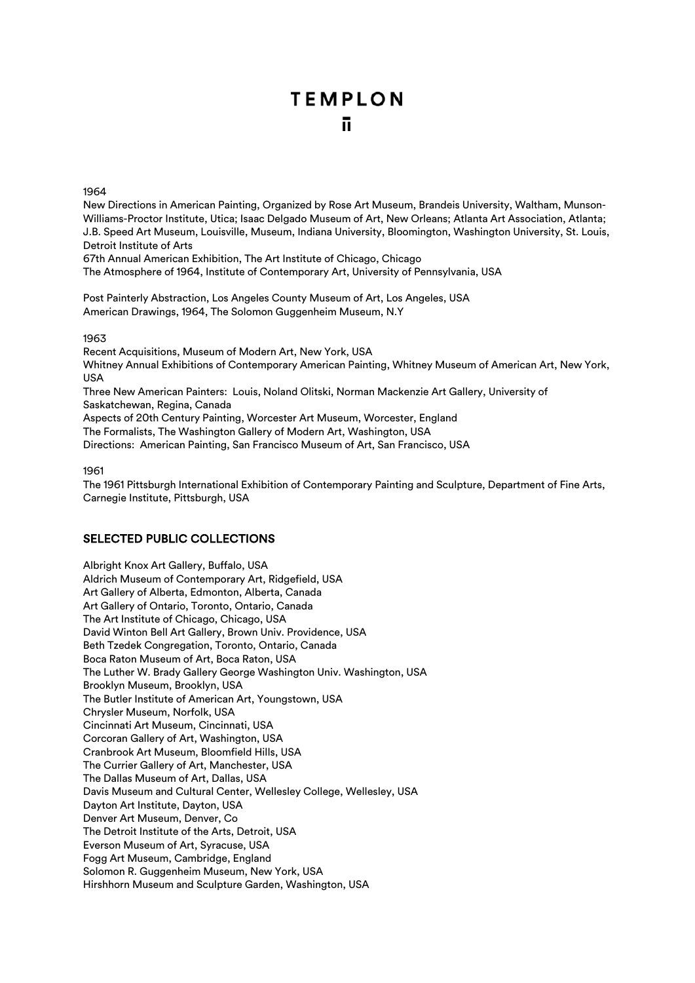1964

New Directions in American Painting, Organized by Rose Art Museum, Brandeis University, Waltham, Munson-Williams-Proctor Institute, Utica; Isaac Delgado Museum of Art, New Orleans; Atlanta Art Association, Atlanta; J.B. Speed Art Museum, Louisville, Museum, Indiana University, Bloomington, Washington University, St. Louis, Detroit Institute of Arts

67th Annual American Exhibition, The Art Institute of Chicago, Chicago

The Atmosphere of 1964, Institute of Contemporary Art, University of Pennsylvania, USA

Post Painterly Abstraction, Los Angeles County Museum of Art, Los Angeles, USA American Drawings, 1964, The Solomon Guggenheim Museum, N.Y

1963

Recent Acquisitions, Museum of Modern Art, New York, USA Whitney Annual Exhibitions of Contemporary American Painting, Whitney Museum of American Art, New York, USA Three New American Painters: Louis, Noland Olitski, Norman Mackenzie Art Gallery, University of Saskatchewan, Regina, Canada Aspects of 20th Century Painting, Worcester Art Museum, Worcester, England

The Formalists, The Washington Gallery of Modern Art, Washington, USA

Directions: American Painting, San Francisco Museum of Art, San Francisco, USA

1961

The 1961 Pittsburgh International Exhibition of Contemporary Painting and Sculpture, Department of Fine Arts, Carnegie Institute, Pittsburgh, USA

# SELECTED PUBLIC COLLECTIONS

Albright Knox Art Gallery, Buffalo, USA Aldrich Museum of Contemporary Art, Ridgefield, USA Art Gallery of Alberta, Edmonton, Alberta, Canada Art Gallery of Ontario, Toronto, Ontario, Canada The Art Institute of Chicago, Chicago, USA David Winton Bell Art Gallery, Brown Univ. Providence, USA Beth Tzedek Congregation, Toronto, Ontario, Canada Boca Raton Museum of Art, Boca Raton, USA The Luther W. Brady Gallery George Washington Univ. Washington, USA Brooklyn Museum, Brooklyn, USA The Butler Institute of American Art, Youngstown, USA Chrysler Museum, Norfolk, USA Cincinnati Art Museum, Cincinnati, USA Corcoran Gallery of Art, Washington, USA Cranbrook Art Museum, Bloomfield Hills, USA The Currier Gallery of Art, Manchester, USA The Dallas Museum of Art, Dallas, USA Davis Museum and Cultural Center, Wellesley College, Wellesley, USA Dayton Art Institute, Dayton, USA Denver Art Museum, Denver, Co The Detroit Institute of the Arts, Detroit, USA Everson Museum of Art, Syracuse, USA Fogg Art Museum, Cambridge, England Solomon R. Guggenheim Museum, New York, USA Hirshhorn Museum and Sculpture Garden, Washington, USA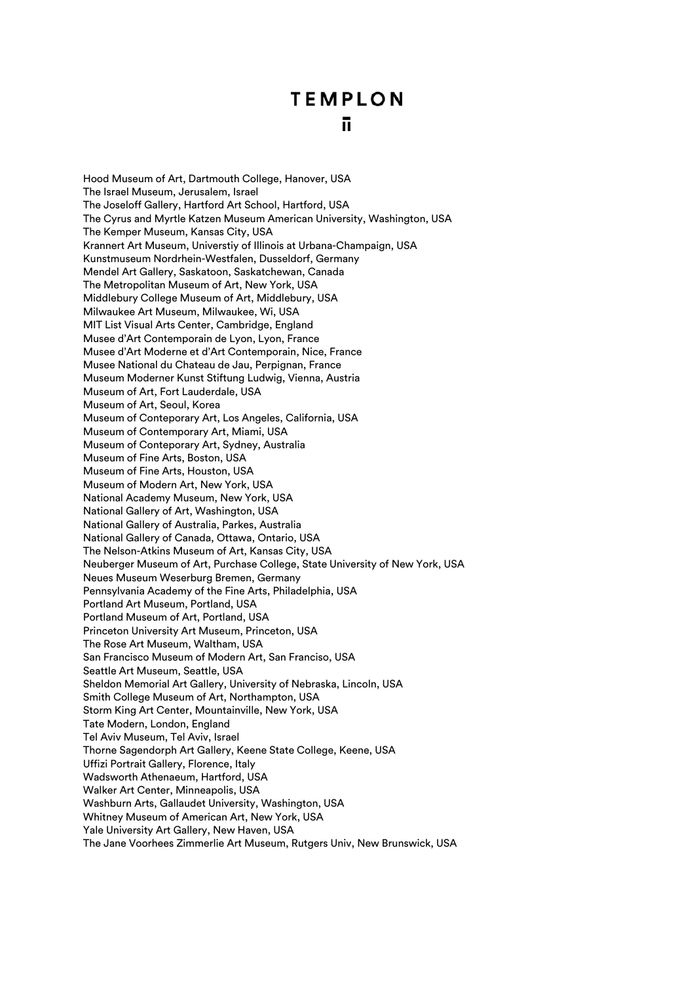Hood Museum of Art, Dartmouth College, Hanover, USA The Israel Museum, Jerusalem, Israel The Joseloff Gallery, Hartford Art School, Hartford, USA The Cyrus and Myrtle Katzen Museum American University, Washington, USA The Kemper Museum, Kansas City, USA Krannert Art Museum, Universtiy of Illinois at Urbana-Champaign, USA Kunstmuseum Nordrhein-Westfalen, Dusseldorf, Germany Mendel Art Gallery, Saskatoon, Saskatchewan, Canada The Metropolitan Museum of Art, New York, USA Middlebury College Museum of Art, Middlebury, USA Milwaukee Art Museum, Milwaukee, Wi, USA MIT List Visual Arts Center, Cambridge, England Musee d'Art Contemporain de Lyon, Lyon, France Musee d'Art Moderne et d'Art Contemporain, Nice, France Musee National du Chateau de Jau, Perpignan, France Museum Moderner Kunst Stiftung Ludwig, Vienna, Austria Museum of Art, Fort Lauderdale, USA Museum of Art, Seoul, Korea Museum of Conteporary Art, Los Angeles, California, USA Museum of Contemporary Art, Miami, USA Museum of Conteporary Art, Sydney, Australia Museum of Fine Arts, Boston, USA Museum of Fine Arts, Houston, USA Museum of Modern Art, New York, USA National Academy Museum, New York, USA National Gallery of Art, Washington, USA National Gallery of Australia, Parkes, Australia National Gallery of Canada, Ottawa, Ontario, USA The Nelson-Atkins Museum of Art, Kansas City, USA Neuberger Museum of Art, Purchase College, State University of New York, USA Neues Museum Weserburg Bremen, Germany Pennsylvania Academy of the Fine Arts, Philadelphia, USA Portland Art Museum, Portland, USA Portland Museum of Art, Portland, USA Princeton University Art Museum, Princeton, USA The Rose Art Museum, Waltham, USA San Francisco Museum of Modern Art, San Franciso, USA Seattle Art Museum, Seattle, USA Sheldon Memorial Art Gallery, University of Nebraska, Lincoln, USA Smith College Museum of Art, Northampton, USA Storm King Art Center, Mountainville, New York, USA Tate Modern, London, England Tel Aviv Museum, Tel Aviv, Israel Thorne Sagendorph Art Gallery, Keene State College, Keene, USA Uffizi Portrait Gallery, Florence, Italy Wadsworth Athenaeum, Hartford, USA Walker Art Center, Minneapolis, USA Washburn Arts, Gallaudet University, Washington, USA Whitney Museum of American Art, New York, USA Yale University Art Gallery, New Haven, USA The Jane Voorhees Zimmerlie Art Museum, Rutgers Univ, New Brunswick, USA